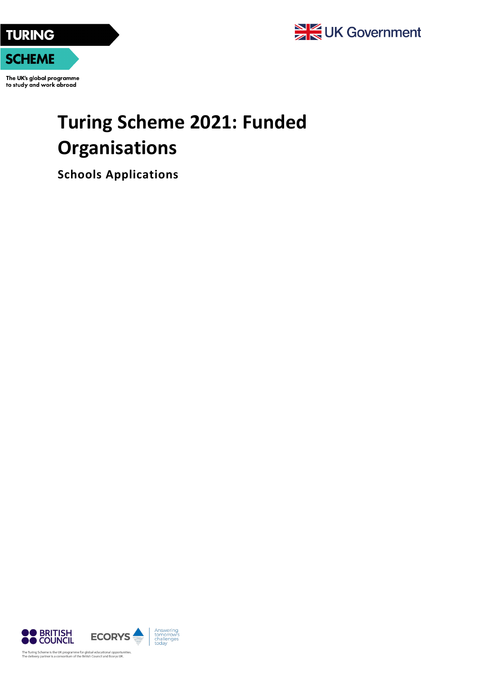

The UK's global programme to study and work abroad

## **Turing Scheme 2021: Funded Organisations**

**Schools Applications**

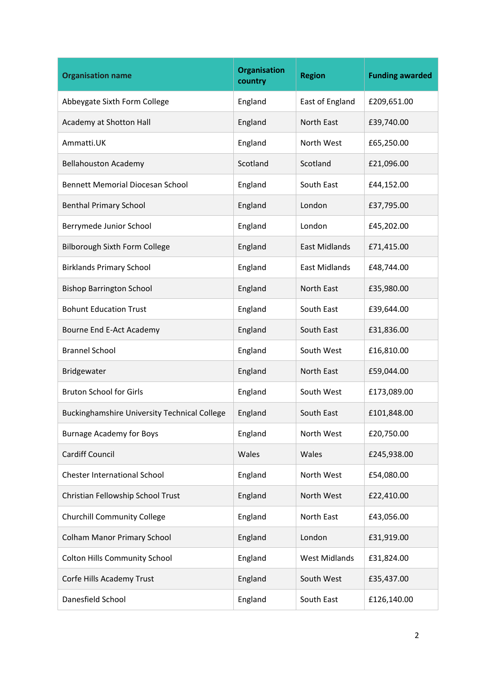| <b>Organisation name</b>                            | <b>Organisation</b><br>country | <b>Region</b>        | <b>Funding awarded</b> |
|-----------------------------------------------------|--------------------------------|----------------------|------------------------|
| Abbeygate Sixth Form College                        | England                        | East of England      | £209,651.00            |
| Academy at Shotton Hall                             | England                        | North East           | £39,740.00             |
| Ammatti.UK                                          | England                        | North West           | £65,250.00             |
| <b>Bellahouston Academy</b>                         | Scotland                       | Scotland             | £21,096.00             |
| <b>Bennett Memorial Diocesan School</b>             | England                        | South East           | £44,152.00             |
| <b>Benthal Primary School</b>                       | England                        | London               | £37,795.00             |
| Berrymede Junior School                             | England                        | London               | £45,202.00             |
| Bilborough Sixth Form College                       | England                        | <b>East Midlands</b> | £71,415.00             |
| <b>Birklands Primary School</b>                     | England                        | <b>East Midlands</b> | £48,744.00             |
| <b>Bishop Barrington School</b>                     | England                        | North East           | £35,980.00             |
| <b>Bohunt Education Trust</b>                       | England                        | South East           | £39,644.00             |
| Bourne End E-Act Academy                            | England                        | South East           | £31,836.00             |
| <b>Brannel School</b>                               | England                        | South West           | £16,810.00             |
| Bridgewater                                         | England                        | North East           | £59,044.00             |
| <b>Bruton School for Girls</b>                      | England                        | South West           | £173,089.00            |
| <b>Buckinghamshire University Technical College</b> | England                        | South East           | £101,848.00            |
| <b>Burnage Academy for Boys</b>                     | England                        | North West           | £20,750.00             |
| <b>Cardiff Council</b>                              | Wales                          | Wales                | £245,938.00            |
| <b>Chester International School</b>                 | England                        | North West           | £54,080.00             |
| Christian Fellowship School Trust                   | England                        | North West           | £22,410.00             |
| <b>Churchill Community College</b>                  | England                        | North East           | £43,056.00             |
| <b>Colham Manor Primary School</b>                  | England                        | London               | £31,919.00             |
| <b>Colton Hills Community School</b>                | England                        | <b>West Midlands</b> | £31,824.00             |
| Corfe Hills Academy Trust                           | England                        | South West           | £35,437.00             |
| Danesfield School                                   | England                        | South East           | £126,140.00            |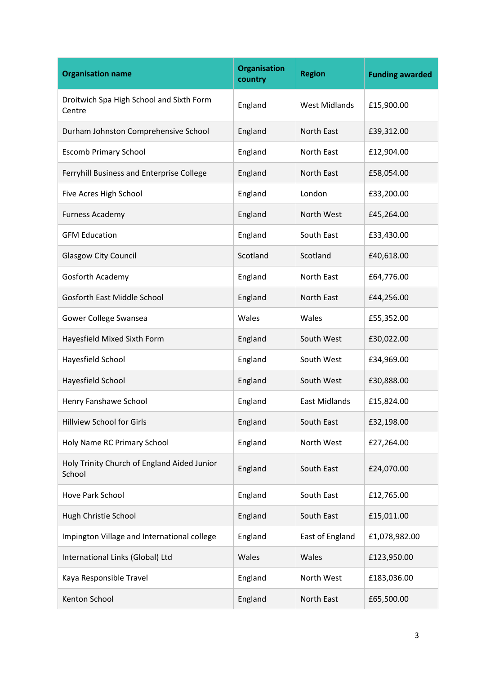| <b>Organisation name</b>                              | <b>Organisation</b><br>country | <b>Region</b>        | <b>Funding awarded</b> |
|-------------------------------------------------------|--------------------------------|----------------------|------------------------|
| Droitwich Spa High School and Sixth Form<br>Centre    | England                        | <b>West Midlands</b> | £15,900.00             |
| Durham Johnston Comprehensive School                  | England                        | North East           | £39,312.00             |
| <b>Escomb Primary School</b>                          | England                        | North East           | £12,904.00             |
| Ferryhill Business and Enterprise College             | England                        | North East           | £58,054.00             |
| Five Acres High School                                | England                        | London               | £33,200.00             |
| <b>Furness Academy</b>                                | England                        | North West           | £45,264.00             |
| <b>GFM Education</b>                                  | England                        | South East           | £33,430.00             |
| <b>Glasgow City Council</b>                           | Scotland                       | Scotland             | £40,618.00             |
| Gosforth Academy                                      | England                        | North East           | £64,776.00             |
| <b>Gosforth East Middle School</b>                    | England                        | North East           | £44,256.00             |
| Gower College Swansea                                 | Wales                          | Wales                | £55,352.00             |
| Hayesfield Mixed Sixth Form                           | England                        | South West           | £30,022.00             |
| Hayesfield School                                     | England                        | South West           | £34,969.00             |
| Hayesfield School                                     | England                        | South West           | £30,888.00             |
| Henry Fanshawe School                                 | England                        | <b>East Midlands</b> | £15,824.00             |
| <b>Hillview School for Girls</b>                      | England                        | South East           | £32,198.00             |
| Holy Name RC Primary School                           | England                        | North West           | £27,264.00             |
| Holy Trinity Church of England Aided Junior<br>School | England                        | South East           | £24,070.00             |
| Hove Park School                                      | England                        | South East           | £12,765.00             |
| Hugh Christie School                                  | England                        | South East           | £15,011.00             |
| Impington Village and International college           | England                        | East of England      | £1,078,982.00          |
| International Links (Global) Ltd                      | Wales                          | Wales                | £123,950.00            |
| Kaya Responsible Travel                               | England                        | North West           | £183,036.00            |
| Kenton School                                         | England                        | North East           | £65,500.00             |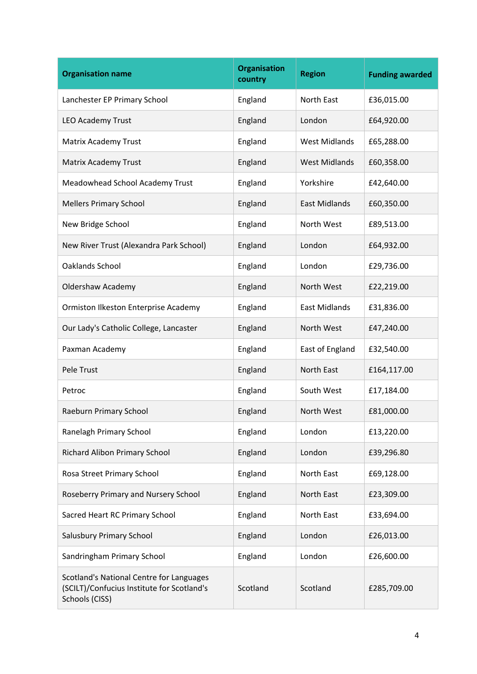| <b>Organisation name</b>                                                                                 | <b>Organisation</b><br>country | <b>Region</b>        | <b>Funding awarded</b> |
|----------------------------------------------------------------------------------------------------------|--------------------------------|----------------------|------------------------|
| Lanchester EP Primary School                                                                             | England                        | North East           | £36,015.00             |
| <b>LEO Academy Trust</b>                                                                                 | England                        | London               | £64,920.00             |
| Matrix Academy Trust                                                                                     | England                        | <b>West Midlands</b> | £65,288.00             |
| Matrix Academy Trust                                                                                     | England                        | <b>West Midlands</b> | £60,358.00             |
| Meadowhead School Academy Trust                                                                          | England                        | Yorkshire            | £42,640.00             |
| <b>Mellers Primary School</b>                                                                            | England                        | <b>East Midlands</b> | £60,350.00             |
| New Bridge School                                                                                        | England                        | North West           | £89,513.00             |
| New River Trust (Alexandra Park School)                                                                  | England                        | London               | £64,932.00             |
| Oaklands School                                                                                          | England                        | London               | £29,736.00             |
| <b>Oldershaw Academy</b>                                                                                 | England                        | North West           | £22,219.00             |
| Ormiston Ilkeston Enterprise Academy                                                                     | England                        | <b>East Midlands</b> | £31,836.00             |
| Our Lady's Catholic College, Lancaster                                                                   | England                        | North West           | £47,240.00             |
| Paxman Academy                                                                                           | England                        | East of England      | £32,540.00             |
| Pele Trust                                                                                               | England                        | North East           | £164,117.00            |
| Petroc                                                                                                   | England                        | South West           | £17,184.00             |
| Raeburn Primary School                                                                                   | England                        | North West           | £81,000.00             |
| Ranelagh Primary School                                                                                  | England                        | London               | £13,220.00             |
| Richard Alibon Primary School                                                                            | England                        | London               | £39,296.80             |
| Rosa Street Primary School                                                                               | England                        | North East           | £69,128.00             |
| Roseberry Primary and Nursery School                                                                     | England                        | North East           | £23,309.00             |
| Sacred Heart RC Primary School                                                                           | England                        | North East           | £33,694.00             |
| Salusbury Primary School                                                                                 | England                        | London               | £26,013.00             |
| Sandringham Primary School                                                                               | England                        | London               | £26,600.00             |
| Scotland's National Centre for Languages<br>(SCILT)/Confucius Institute for Scotland's<br>Schools (CISS) | Scotland                       | Scotland             | £285,709.00            |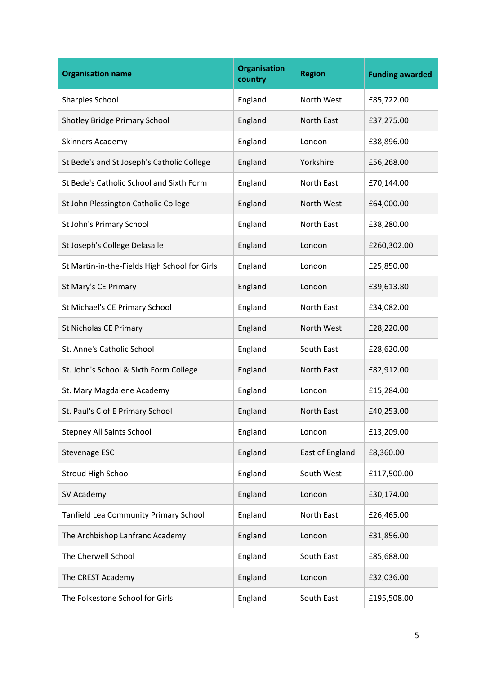| <b>Organisation name</b>                      | <b>Organisation</b><br>country | <b>Region</b>   | <b>Funding awarded</b> |
|-----------------------------------------------|--------------------------------|-----------------|------------------------|
| Sharples School                               | England                        | North West      | £85,722.00             |
| Shotley Bridge Primary School                 | England                        | North East      | £37,275.00             |
| Skinners Academy                              | England                        | London          | £38,896.00             |
| St Bede's and St Joseph's Catholic College    | England                        | Yorkshire       | £56,268.00             |
| St Bede's Catholic School and Sixth Form      | England                        | North East      | £70,144.00             |
| St John Plessington Catholic College          | England                        | North West      | £64,000.00             |
| St John's Primary School                      | England                        | North East      | £38,280.00             |
| St Joseph's College Delasalle                 | England                        | London          | £260,302.00            |
| St Martin-in-the-Fields High School for Girls | England                        | London          | £25,850.00             |
| St Mary's CE Primary                          | England                        | London          | £39,613.80             |
| St Michael's CE Primary School                | England                        | North East      | £34,082.00             |
| St Nicholas CE Primary                        | England                        | North West      | £28,220.00             |
| St. Anne's Catholic School                    | England                        | South East      | £28,620.00             |
| St. John's School & Sixth Form College        | England                        | North East      | £82,912.00             |
| St. Mary Magdalene Academy                    | England                        | London          | £15,284.00             |
| St. Paul's C of E Primary School              | England                        | North East      | £40,253.00             |
| <b>Stepney All Saints School</b>              | England                        | London          | £13,209.00             |
| Stevenage ESC                                 | England                        | East of England | £8,360.00              |
| Stroud High School                            | England                        | South West      | £117,500.00            |
| SV Academy                                    | England                        | London          | £30,174.00             |
| Tanfield Lea Community Primary School         | England                        | North East      | £26,465.00             |
| The Archbishop Lanfranc Academy               | England                        | London          | £31,856.00             |
| The Cherwell School                           | England                        | South East      | £85,688.00             |
| The CREST Academy                             | England                        | London          | £32,036.00             |
| The Folkestone School for Girls               | England                        | South East      | £195,508.00            |